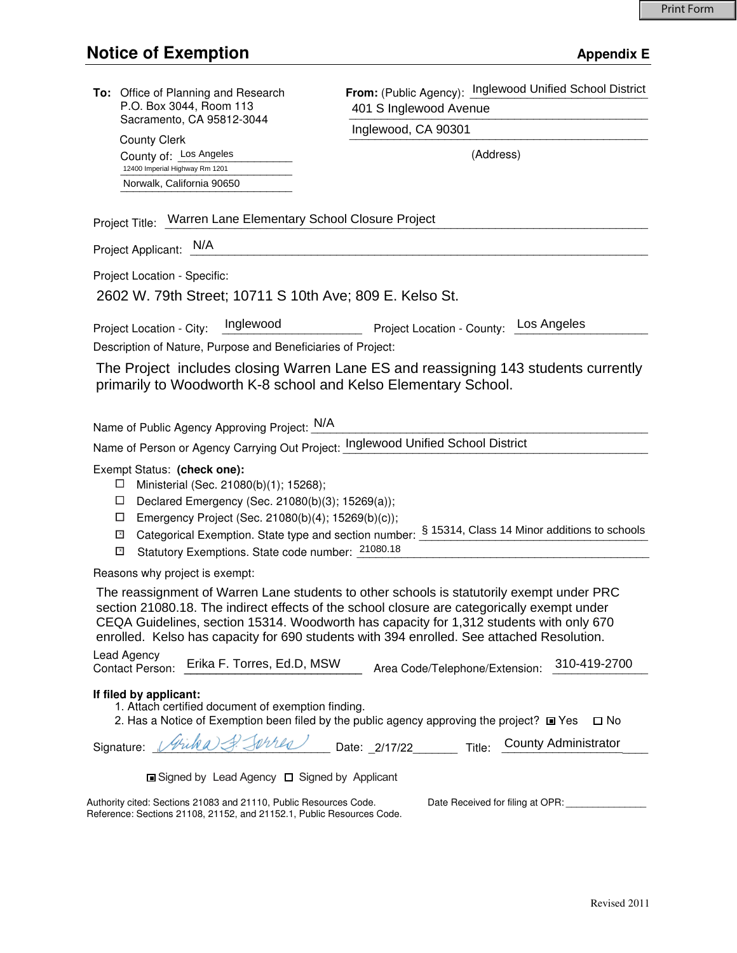| To: Office of Planning and Research<br>P.O. Box 3044, Room 113<br>Sacramento, CA 95812-3044<br><b>County Clerk</b>                                                                                                                                                                                                                                                               | From: (Public Agency): Inglewood Unified School District |
|----------------------------------------------------------------------------------------------------------------------------------------------------------------------------------------------------------------------------------------------------------------------------------------------------------------------------------------------------------------------------------|----------------------------------------------------------|
|                                                                                                                                                                                                                                                                                                                                                                                  | 401 S Inglewood Avenue                                   |
|                                                                                                                                                                                                                                                                                                                                                                                  | Inglewood, CA 90301                                      |
| County of: Los Angeles                                                                                                                                                                                                                                                                                                                                                           | (Address)                                                |
| 12400 Imperial Highway Rm 1201                                                                                                                                                                                                                                                                                                                                                   |                                                          |
| Norwalk, California 90650                                                                                                                                                                                                                                                                                                                                                        |                                                          |
| Project Title: Warren Lane Elementary School Closure Project                                                                                                                                                                                                                                                                                                                     |                                                          |
| Project Applicant: N/A                                                                                                                                                                                                                                                                                                                                                           |                                                          |
| Project Location - Specific:                                                                                                                                                                                                                                                                                                                                                     |                                                          |
| 2602 W. 79th Street; 10711 S 10th Ave; 809 E. Kelso St.                                                                                                                                                                                                                                                                                                                          |                                                          |
| Inglewood<br>Project Location - City:                                                                                                                                                                                                                                                                                                                                            | Los Angeles<br>Project Location - County:                |
| Description of Nature, Purpose and Beneficiaries of Project:                                                                                                                                                                                                                                                                                                                     |                                                          |
| The Project includes closing Warren Lane ES and reassigning 143 students currently                                                                                                                                                                                                                                                                                               |                                                          |
| primarily to Woodworth K-8 school and Kelso Elementary School.                                                                                                                                                                                                                                                                                                                   |                                                          |
|                                                                                                                                                                                                                                                                                                                                                                                  |                                                          |
| Name of Public Agency Approving Project: N/A                                                                                                                                                                                                                                                                                                                                     |                                                          |
| Name of Person or Agency Carrying Out Project: Inglewood Unified School District                                                                                                                                                                                                                                                                                                 |                                                          |
| Exempt Status: (check one):<br>Ministerial (Sec. 21080(b)(1); 15268);<br>ப<br>Declared Emergency (Sec. 21080(b)(3); 15269(a));<br>ப                                                                                                                                                                                                                                              |                                                          |
| □<br>Emergency Project (Sec. 21080(b)(4); 15269(b)(c));                                                                                                                                                                                                                                                                                                                          |                                                          |
| Categorical Exemption. State type and section number: § 15314, Class 14 Minor additions to schools<br>⊡                                                                                                                                                                                                                                                                          |                                                          |
| Statutory Exemptions. State code number: 21080.18<br>⊡                                                                                                                                                                                                                                                                                                                           |                                                          |
| Reasons why project is exempt:                                                                                                                                                                                                                                                                                                                                                   |                                                          |
| The reassignment of Warren Lane students to other schools is statutorily exempt under PRC<br>section 21080.18. The indirect effects of the school closure are categorically exempt under<br>CEQA Guidelines, section 15314. Woodworth has capacity for 1,312 students with only 670<br>enrolled. Kelso has capacity for 690 students with 394 enrolled. See attached Resolution. |                                                          |
| Lead Agency<br>Erika F. Torres, Ed.D, MSW<br>Contact Person:                                                                                                                                                                                                                                                                                                                     | 310-419-2700<br>Area Code/Telephone/Extension:           |
| If filed by applicant:<br>1. Attach certified document of exemption finding.<br>2. Has a Notice of Exemption been filed by the public agency approving the project? ■ Yes<br>□ No                                                                                                                                                                                                |                                                          |
| Signature: Vicka J. Johnes Date: 2/17/22 Title:                                                                                                                                                                                                                                                                                                                                  | <b>County Administrator</b>                              |
| <b>□</b> Signed by Lead Agency □ Signed by Applicant                                                                                                                                                                                                                                                                                                                             |                                                          |
| Authority cited: Sections 21083 and 21110, Public Resources Code.<br>Date Received for filing at OPR:                                                                                                                                                                                                                                                                            |                                                          |
| Reference: Sections 21108, 21152, and 21152.1, Public Resources Code.                                                                                                                                                                                                                                                                                                            |                                                          |
|                                                                                                                                                                                                                                                                                                                                                                                  |                                                          |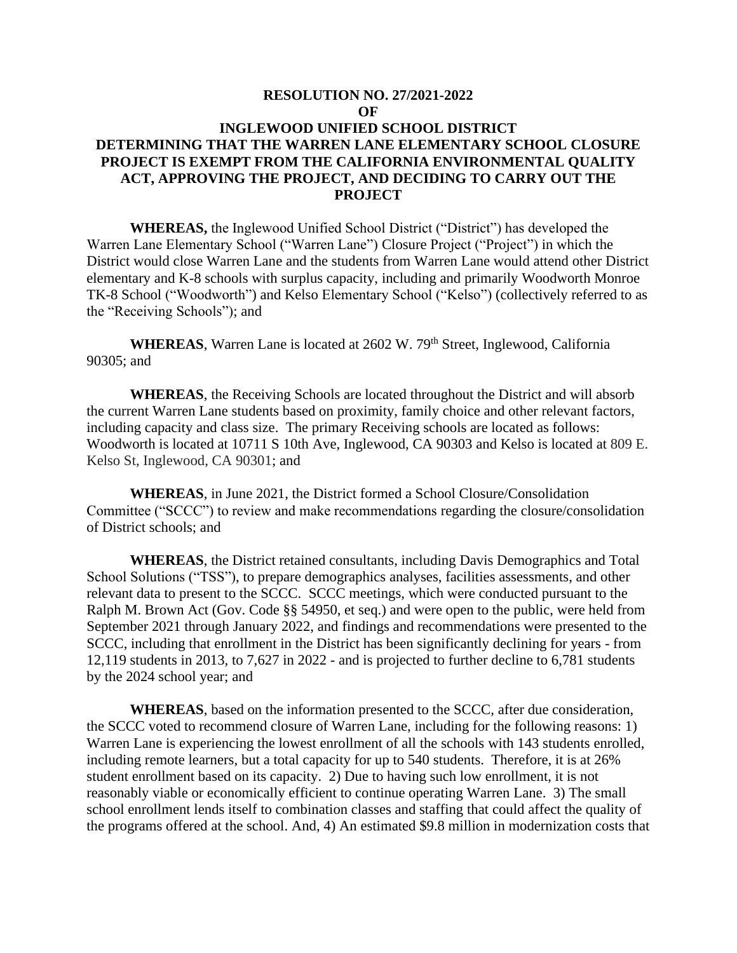## **RESOLUTION NO. 27/2021-2022 OF INGLEWOOD UNIFIED SCHOOL DISTRICT DETERMINING THAT THE WARREN LANE ELEMENTARY SCHOOL CLOSURE PROJECT IS EXEMPT FROM THE CALIFORNIA ENVIRONMENTAL QUALITY ACT, APPROVING THE PROJECT, AND DECIDING TO CARRY OUT THE PROJECT**

**WHEREAS,** the Inglewood Unified School District ("District") has developed the Warren Lane Elementary School ("Warren Lane") Closure Project ("Project") in which the District would close Warren Lane and the students from Warren Lane would attend other District elementary and K-8 schools with surplus capacity, including and primarily Woodworth Monroe TK-8 School ("Woodworth") and Kelso Elementary School ("Kelso") (collectively referred to as the "Receiving Schools"); and

WHEREAS, Warren Lane is located at 2602 W. 79<sup>th</sup> Street, Inglewood, California 90305; and

**WHEREAS**, the Receiving Schools are located throughout the District and will absorb the current Warren Lane students based on proximity, family choice and other relevant factors, including capacity and class size. The primary Receiving schools are located as follows: Woodworth is located at 10711 S 10th Ave, Inglewood, CA 90303 and Kelso is located at 809 E. Kelso St, Inglewood, CA 90301; and

**WHEREAS**, in June 2021, the District formed a School Closure/Consolidation Committee ("SCCC") to review and make recommendations regarding the closure/consolidation of District schools; and

**WHEREAS**, the District retained consultants, including Davis Demographics and Total School Solutions ("TSS"), to prepare demographics analyses, facilities assessments, and other relevant data to present to the SCCC. SCCC meetings, which were conducted pursuant to the Ralph M. Brown Act (Gov. Code §§ 54950, et seq.) and were open to the public, were held from September 2021 through January 2022, and findings and recommendations were presented to the SCCC, including that enrollment in the District has been significantly declining for years - from 12,119 students in 2013, to 7,627 in 2022 - and is projected to further decline to 6,781 students by the 2024 school year; and

**WHEREAS**, based on the information presented to the SCCC, after due consideration, the SCCC voted to recommend closure of Warren Lane, including for the following reasons: 1) Warren Lane is experiencing the lowest enrollment of all the schools with 143 students enrolled, including remote learners, but a total capacity for up to 540 students. Therefore, it is at 26% student enrollment based on its capacity. 2) Due to having such low enrollment, it is not reasonably viable or economically efficient to continue operating Warren Lane. 3) The small school enrollment lends itself to combination classes and staffing that could affect the quality of the programs offered at the school. And, 4) An estimated \$9.8 million in modernization costs that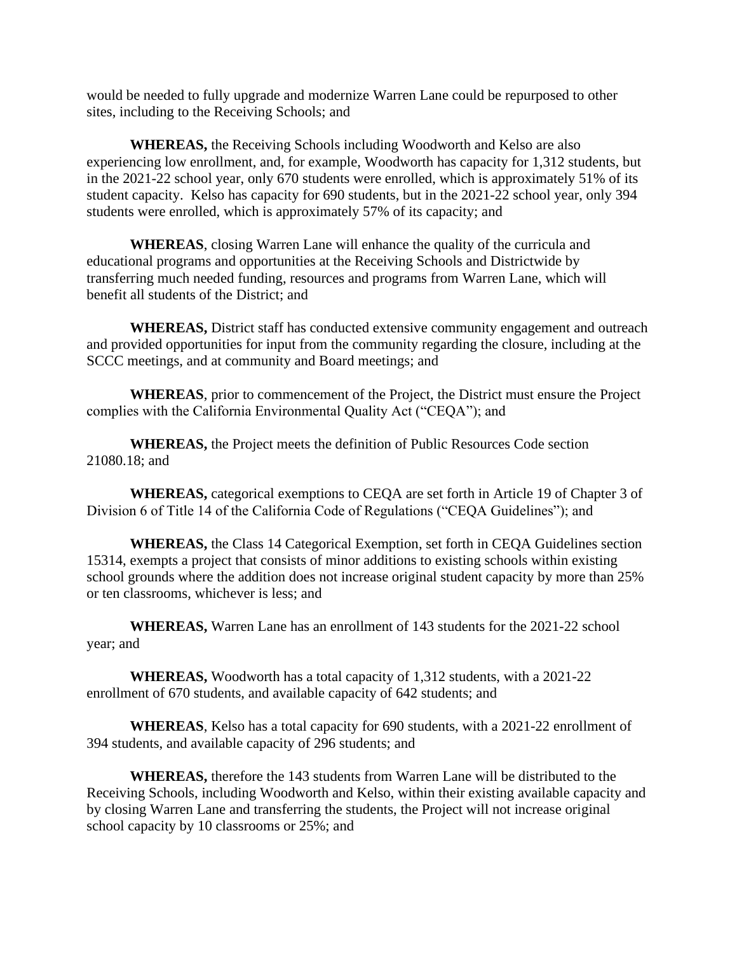would be needed to fully upgrade and modernize Warren Lane could be repurposed to other sites, including to the Receiving Schools; and

**WHEREAS,** the Receiving Schools including Woodworth and Kelso are also experiencing low enrollment, and, for example, Woodworth has capacity for 1,312 students, but in the 2021-22 school year, only 670 students were enrolled, which is approximately 51% of its student capacity.Kelso has capacity for 690 students, but in the 2021-22 school year, only 394 students were enrolled, which is approximately 57% of its capacity; and

**WHEREAS**, closing Warren Lane will enhance the quality of the curricula and educational programs and opportunities at the Receiving Schools and Districtwide by transferring much needed funding, resources and programs from Warren Lane, which will benefit all students of the District; and

**WHEREAS,** District staff has conducted extensive community engagement and outreach and provided opportunities for input from the community regarding the closure, including at the SCCC meetings, and at community and Board meetings; and

**WHEREAS**, prior to commencement of the Project, the District must ensure the Project complies with the California Environmental Quality Act ("CEQA"); and

**WHEREAS,** the Project meets the definition of Public Resources Code section 21080.18; and

**WHEREAS,** categorical exemptions to CEQA are set forth in Article 19 of Chapter 3 of Division 6 of Title 14 of the California Code of Regulations ("CEQA Guidelines"); and

**WHEREAS,** the Class 14 Categorical Exemption, set forth in CEQA Guidelines section 15314, exempts a project that consists of minor additions to existing schools within existing school grounds where the addition does not increase original student capacity by more than 25% or ten classrooms, whichever is less; and

**WHEREAS,** Warren Lane has an enrollment of 143 students for the 2021-22 school year; and

**WHEREAS,** Woodworth has a total capacity of 1,312 students, with a 2021-22 enrollment of 670 students, and available capacity of 642 students; and

**WHEREAS**, Kelso has a total capacity for 690 students, with a 2021-22 enrollment of 394 students, and available capacity of 296 students; and

**WHEREAS,** therefore the 143 students from Warren Lane will be distributed to the Receiving Schools, including Woodworth and Kelso, within their existing available capacity and by closing Warren Lane and transferring the students, the Project will not increase original school capacity by 10 classrooms or 25%; and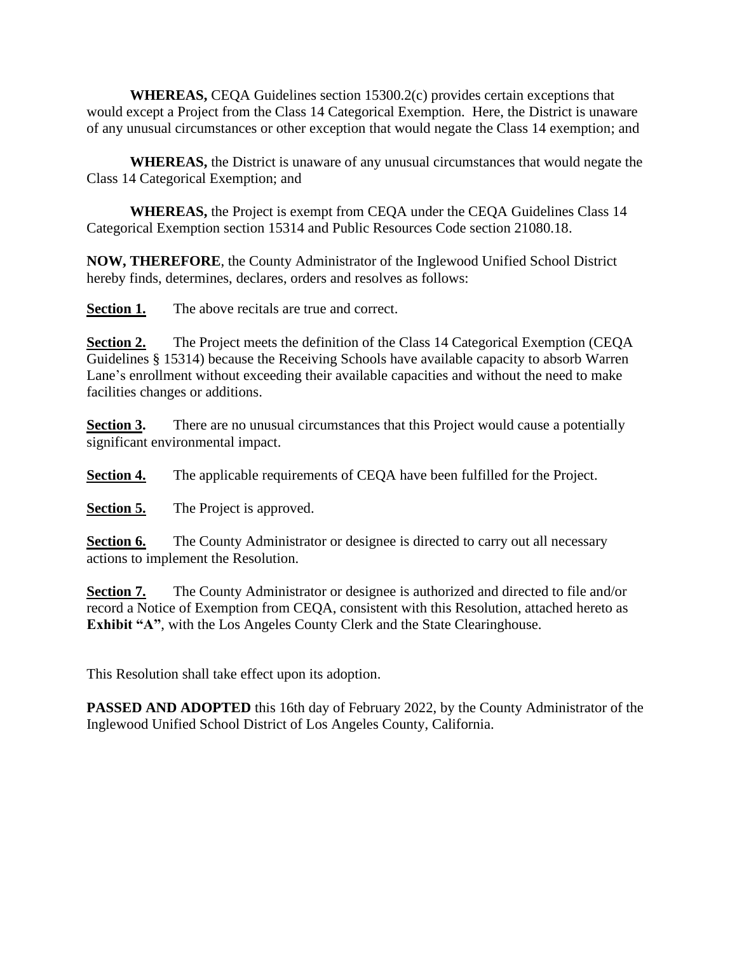**WHEREAS,** CEQA Guidelines section 15300.2(c) provides certain exceptions that would except a Project from the Class 14 Categorical Exemption. Here, the District is unaware of any unusual circumstances or other exception that would negate the Class 14 exemption; and

**WHEREAS,** the District is unaware of any unusual circumstances that would negate the Class 14 Categorical Exemption; and

**WHEREAS,** the Project is exempt from CEQA under the CEQA Guidelines Class 14 Categorical Exemption section 15314 and Public Resources Code section 21080.18.

**NOW, THEREFORE**, the County Administrator of the Inglewood Unified School District hereby finds, determines, declares, orders and resolves as follows:

**Section 1.** The above recitals are true and correct.

**Section 2.** The Project meets the definition of the Class 14 Categorical Exemption (CEQA Guidelines § 15314) because the Receiving Schools have available capacity to absorb Warren Lane's enrollment without exceeding their available capacities and without the need to make facilities changes or additions.

**Section 3.** There are no unusual circumstances that this Project would cause a potentially significant environmental impact.

**Section 4.** The applicable requirements of CEQA have been fulfilled for the Project.

**Section 5.** The Project is approved.

**Section 6.** The County Administrator or designee is directed to carry out all necessary actions to implement the Resolution.

**Section 7.** The County Administrator or designee is authorized and directed to file and/or record a Notice of Exemption from CEQA, consistent with this Resolution, attached hereto as **Exhibit "A"**, with the Los Angeles County Clerk and the State Clearinghouse.

This Resolution shall take effect upon its adoption.

**PASSED AND ADOPTED** this 16th day of February 2022, by the County Administrator of the Inglewood Unified School District of Los Angeles County, California.